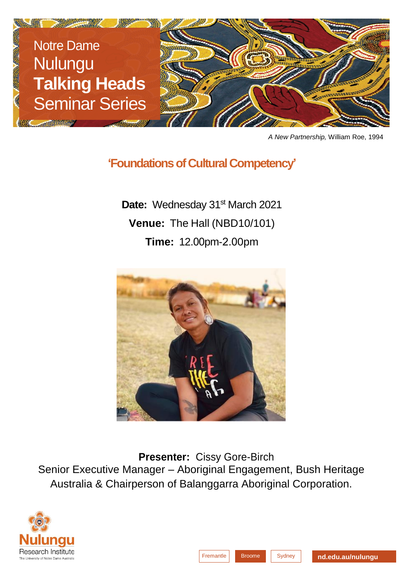

*A New Partnership,* William Roe, 1994

## **'Foundations of Cultural Competency'**

Date: Wednesday 31<sup>st</sup> March 2021 **Venue:** The Hall (NBD10/101) **Time:** 12.00pm-2.00pm



**Presenter:** Cissy Gore-Birch Senior Executive Manager – Aboriginal Engagement, Bush Heritage Australia & Chairperson of Balanggarra Aboriginal Corporation.